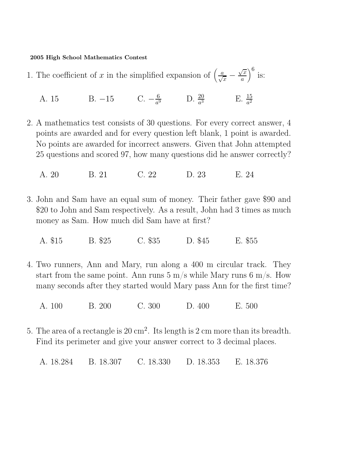2005 High School Mathematics Contest

- 1. The coefficient of x in the simplified expansion of  $\left(\frac{a}{\sqrt{x}} \frac{a}{\sqrt{x}}\right)$  $\sqrt{x}$ a  $\sqrt{6}$ is:
	- A. 15 B. −15 C.  $-\frac{6}{a^6}$  $rac{6}{a^3}$  D.  $rac{20}{a^3}$  E.  $rac{15}{a^2}$
- 2. A mathematics test consists of 30 questions. For every correct answer, 4 points are awarded and for every question left blank, 1 point is awarded. No points are awarded for incorrect answers. Given that John attempted 25 questions and scored 97, how many questions did he answer correctly?

A. 20 B. 21 C. 22 D. 23 E. 24

- 3. John and Sam have an equal sum of money. Their father gave \$90 and \$20 to John and Sam respectively. As a result, John had 3 times as much money as Sam. How much did Sam have at first?
	- A. \$15 B. \$25 C. \$35 D. \$45 E. \$55
- 4. Two runners, Ann and Mary, run along a 400 m circular track. They start from the same point. Ann runs  $5 \text{ m/s}$  while Mary runs  $6 \text{ m/s}$ . How many seconds after they started would Mary pass Ann for the first time?
	- A. 100 B. 200 C. 300 D. 400 E. 500
- 5. The area of a rectangle is  $20 \text{ cm}^2$ . Its length is  $2 \text{ cm}$  more than its breadth. Find its perimeter and give your answer correct to 3 decimal places.

A. 18.284 B. 18.307 C. 18.330 D. 18.353 E. 18.376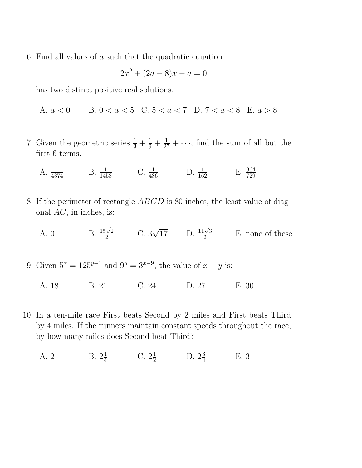6. Find all values of  $a$  such that the quadratic equation

$$
2x^2 + (2a - 8)x - a = 0
$$

has two distinct positive real solutions.

A. 
$$
a < 0
$$
 B.  $0 < a < 5$  C.  $5 < a < 7$  D.  $7 < a < 8$  E.  $a > 8$ 

- 7. Given the geometric series  $\frac{1}{3} + \frac{1}{9} + \frac{1}{27} + \cdots$ , find the sum of all but the first 6 terms.
	- A.  $\frac{1}{4374}$  B.  $\frac{1}{1458}$  C.  $\frac{1}{486}$  D.  $\frac{1}{162}$  E.  $\frac{364}{729}$
- 8. If the perimeter of rectangle ABCD is 80 inches, the least value of diagonal  $AC$ , in inches, is:
	- A. 0 B.  $\frac{15\sqrt{2}}{2}$  $\frac{\sqrt{2}}{2}$  C.  $3\sqrt{17}$  D.  $\frac{11\sqrt{3}}{2}$  $\frac{\sqrt{3}}{2}$  E. none of these
- 9. Given  $5^x = 125^{y+1}$  and  $9^y = 3^{x-9}$ , the value of  $x + y$  is:
	- A. 18 B. 21 C. 24 D. 27 E. 30
- 10. In a ten-mile race First beats Second by 2 miles and First beats Third by 4 miles. If the runners maintain constant speeds throughout the race, by how many miles does Second beat Third?
	- A. 2 B.  $2\frac{1}{4}$  $\frac{1}{4}$  C.  $2\frac{1}{2}$  D.  $2\frac{3}{4}$ 4 E. 3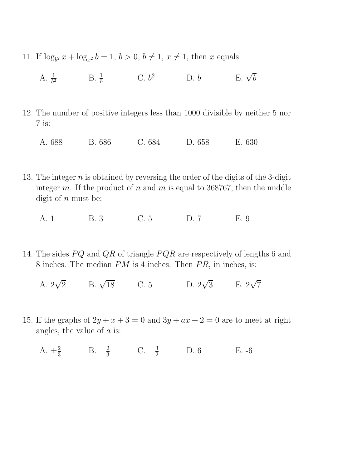- 11. If  $\log_{b^2} x + \log_{x^2} b = 1, b > 0, b \neq 1, x \neq 1$ , then x equals:
	- A.  $\frac{1}{b^2}$  B.  $\frac{1}{b}$  C.  $b^2$  D. b E.  $\sqrt{b}$
- 12. The number of positive integers less than 1000 divisible by neither 5 nor 7 is:
	- A. 688 B. 686 C. 684 D. 658 E. 630
- 13. The integer  $n$  is obtained by reversing the order of the digits of the 3-digit integer m. If the product of n and m is equal to 368767, then the middle digit of  $n$  must be:
	- A. 1 B. 3 C. 5 D. 7 E. 9
- 14. The sides  $PQ$  and  $QR$  of triangle  $PQR$  are respectively of lengths 6 and 8 inches. The median  $PM$  is 4 inches. Then  $PR$ , in inches, is:
	- A.  $2\sqrt{ }$ 2 B.  $\sqrt{18}$  C. 5 D.  $2\sqrt{3}$  E.  $2\sqrt{7}$
- 15. If the graphs of  $2y + x + 3 = 0$  and  $3y + ax + 2 = 0$  are to meet at right angles, the value of  $\alpha$  is:
	- A.  $\pm \frac{2}{3}$  $\frac{2}{3}$  B.  $-\frac{2}{3}$  $\frac{2}{3}$  C.  $-\frac{3}{2}$ D. 6 E. -6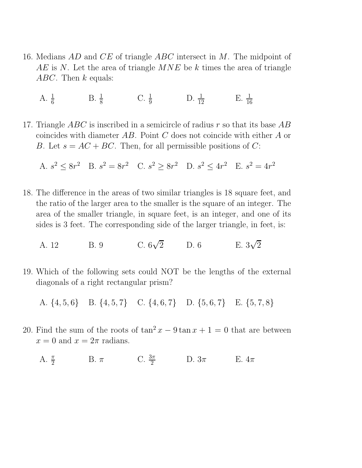- 16. Medians AD and CE of triangle ABC intersect in M. The midpoint of  $AE$  is N. Let the area of triangle  $MNE$  be k times the area of triangle ABC. Then  $k$  equals:
	- A.  $\frac{1}{6}$ B.  $\frac{1}{8}$  C.  $\frac{1}{9}$  D.  $\frac{1}{12}$  E.  $\frac{1}{16}$
- 17. Triangle ABC is inscribed in a semicircle of radius r so that its base  $AB$ coincides with diameter AB. Point C does not coincide with either A or B. Let  $s = AC + BC$ . Then, for all permissible positions of C:

A.  $s^2 \le 8r^2$  B.  $s^2 = 8r^2$  C.  $s^2 \ge 8r^2$  D.  $s^2 \le 4r^2$  E.  $s^2 = 4r^2$ 

- 18. The difference in the areas of two similar triangles is 18 square feet, and the ratio of the larger area to the smaller is the square of an integer. The area of the smaller triangle, in square feet, is an integer, and one of its sides is 3 feet. The corresponding side of the larger triangle, in feet, is:
	- A. 12 B. 9  $\sqrt{2}$  D. 6 E. 3  $\sqrt{2}$
- 19. Which of the following sets could NOT be the lengths of the external diagonals of a right rectangular prism?

A. {4, 5, 6} B. {4, 5, 7} C. {4, 6, 7} D. {5, 6, 7} E. {5, 7, 8}

- 20. Find the sum of the roots of  $\tan^2 x 9 \tan x + 1 = 0$  that are between  $x = 0$  and  $x = 2\pi$  radians.
	- A.  $\frac{\pi}{2}$  B.  $\pi$  C.  $\frac{3\pi}{2}$  D.  $3\pi$  E.  $4\pi$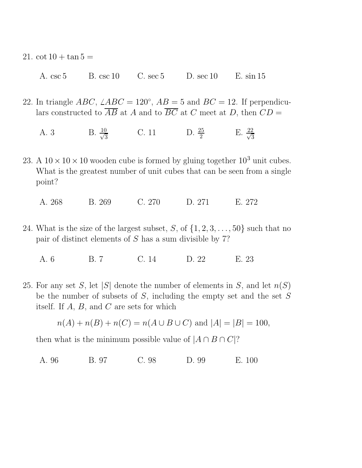- 21.  $\cot 10 + \tan 5 =$ 
	- A. csc 5 B. csc 10 C. sec 5 D. sec 10 E. sin 15
- 22. In triangle  $ABC$ ,  $\angle ABC = 120^\circ$ ,  $AB = 5$  and  $BC = 12$ . If perpendiculars constructed to  $\overline{AB}$  at A and to  $\overline{BC}$  at C meet at D, then  $CD =$ 
	- A. 3 B.  $\frac{10}{\sqrt{3}}$ 3 C. 11 D.  $\frac{25}{2}$  E.  $\frac{22}{\sqrt{3}}$ 3
- 23. A  $10 \times 10 \times 10$  wooden cube is formed by gluing together  $10^3$  unit cubes. What is the greatest number of unit cubes that can be seen from a single point?
	- A. 268 B. 269 C. 270 D. 271 E. 272
- 24. What is the size of the largest subset, S, of  $\{1, 2, 3, \ldots, 50\}$  such that no pair of distinct elements of S has a sum divisible by 7?
	- A. 6 B. 7 C. 14 D. 22 E. 23
- 25. For any set S, let |S| denote the number of elements in S, and let  $n(S)$ be the number of subsets of  $S$ , including the empty set and the set  $S$ itself. If A, B, and C are sets for which

$$
n(A) + n(B) + n(C) = n(A \cup B \cup C)
$$
 and  $|A| = |B| = 100$ ,

then what is the minimum possible value of  $|A \cap B \cap C|$ ?

A. 96 B. 97 C. 98 D. 99 E. 100